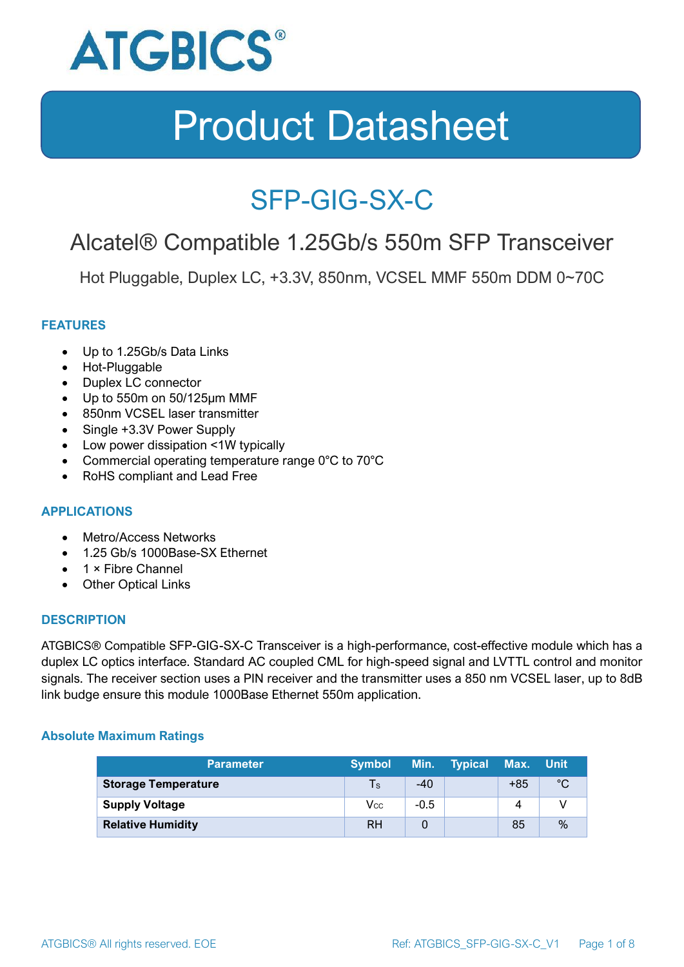

### SFP-GIG-SX-C

### Alcatel® Compatible 1.25Gb/s 550m SFP Transceiver

Hot Pluggable, Duplex LC, +3.3V, 850nm, VCSEL MMF 550m DDM 0~70C

#### **FEATURES**

- Up to 1.25Gb/s Data Links
- Hot-Pluggable
- Duplex LC connector
- Up to 550m on 50/125μm MMF
- 850nm VCSEL laser transmitter
- Single +3.3V Power Supply
- Low power dissipation <1W typically
- Commercial operating temperature range 0°C to 70°C
- RoHS compliant and Lead Free

#### **APPLICATIONS**

- Metro/Access Networks
- 1.25 Gb/s 1000Base-SX Ethernet
- 1 × Fibre Channel
- Other Optical Links

#### **DESCRIPTION**

ATGBICS® Compatible SFP-GIG-SX-C Transceiver is a high-performance, cost-effective module which has a duplex LC optics interface. Standard AC coupled CML for high-speed signal and LVTTL control and monitor signals. The receiver section uses a PIN receiver and the transmitter uses a 850 nm VCSEL laser, up to 8dB link budge ensure this module 1000Base Ethernet 550m application.

#### **Absolute Maximum Ratings**

| <b>Parameter</b>           | <b>Symbol</b> |        | Min. Typical | Max. Unit |      |
|----------------------------|---------------|--------|--------------|-----------|------|
| <b>Storage Temperature</b> | $\mathsf{Ts}$ | $-40$  |              | $+85$     | °C   |
| <b>Supply Voltage</b>      | Vcc           | $-0.5$ |              | 4         |      |
| <b>Relative Humidity</b>   | <b>RH</b>     |        |              | 85        | $\%$ |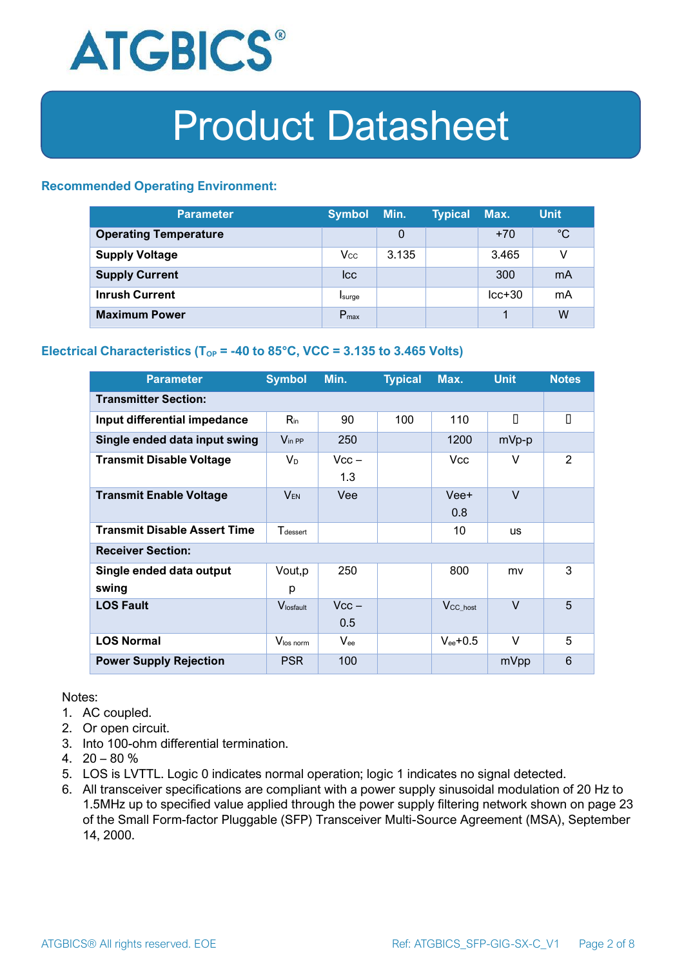

#### **Recommended Operating Environment:**

| <b>Parameter</b>             | <b>Symbol</b>    | Min.  | <b>Typical</b> | Max.     | <b>Unit</b> |
|------------------------------|------------------|-------|----------------|----------|-------------|
| <b>Operating Temperature</b> |                  | 0     |                | $+70$    | $^{\circ}C$ |
| <b>Supply Voltage</b>        | $V_{\rm CC}$     | 3.135 |                | 3.465    | v           |
| <b>Supply Current</b>        | <b>Icc</b>       |       |                | 300      | mA          |
| <b>Inrush Current</b>        | Isurge           |       |                | $lcc+30$ | mA          |
| <b>Maximum Power</b>         | $P_{\text{max}}$ |       |                |          | W           |

#### **Electrical Characteristics** ( $T_{OP}$  = -40 to 85°C, VCC = 3.135 to 3.465 Volts)

| <b>Parameter</b>                    | <b>Symbol</b>         | Min.           | <b>Typical</b> | Max.                 | <b>Unit</b> | <b>Notes</b> |  |
|-------------------------------------|-----------------------|----------------|----------------|----------------------|-------------|--------------|--|
| <b>Transmitter Section:</b>         |                       |                |                |                      |             |              |  |
| Input differential impedance        | $R_{\rm in}$          | 90             | 100            | 110                  | П           | П            |  |
| Single ended data input swing       | $V_{\text{in PP}}$    | 250            |                | 1200                 | mVp-p       |              |  |
| <b>Transmit Disable Voltage</b>     | $V_D$                 | $Vcc -$<br>1.3 |                | Vcc.                 | V           | 2            |  |
| <b>Transmit Enable Voltage</b>      | <b>VEN</b>            | Vee            |                | Vee+<br>0.8          | $\vee$      |              |  |
| <b>Transmit Disable Assert Time</b> | $T_{\rm dessert}$     |                |                | 10                   | <b>us</b>   |              |  |
| <b>Receiver Section:</b>            |                       |                |                |                      |             |              |  |
| Single ended data output<br>swing   | Vout, p<br>р          | 250            |                | 800                  | mv          | 3            |  |
| <b>LOS Fault</b>                    | $V_{\text{losfault}}$ | $Vcc -$<br>0.5 |                | V <sub>CC_host</sub> | $\vee$      | 5            |  |
| <b>LOS Normal</b>                   | Vlos norm             | $V_{ee}$       |                | $V_{ee}$ +0.5        | $\vee$      | 5            |  |
| <b>Power Supply Rejection</b>       | <b>PSR</b>            | 100            |                |                      | mVpp        | 6            |  |

Notes:

- 1. AC coupled.
- 2. Or open circuit.
- 3. Into 100-ohm differential termination.
- 4.  $20 80 \%$
- 5. LOS is LVTTL. Logic 0 indicates normal operation; logic 1 indicates no signal detected.
- 6. All transceiver specifications are compliant with a power supply sinusoidal modulation of 20 Hz to 1.5MHz up to specified value applied through the power supply filtering network shown on page 23 of the Small Form-factor Pluggable (SFP) Transceiver Multi-Source Agreement (MSA), September 14, 2000.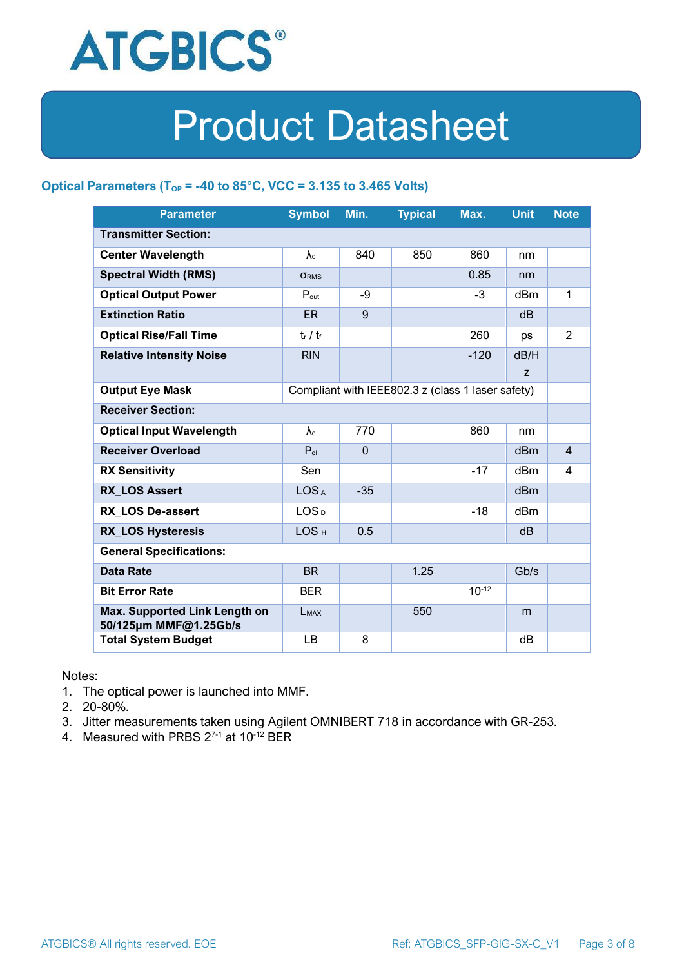

#### **Optical Parameters** ( $T_{OP}$  = -40 to 85°C, VCC = 3.135 to 3.465 Volts)

| <b>Parameter</b>                                                            | <b>Symbol</b>     | Min.         | <b>Typical</b> | Max.       | <b>Unit</b>     | <b>Note</b>    |
|-----------------------------------------------------------------------------|-------------------|--------------|----------------|------------|-----------------|----------------|
| <b>Transmitter Section:</b>                                                 |                   |              |                |            |                 |                |
| <b>Center Wavelength</b>                                                    | $\lambda_c$       | 840          | 850            | 860        | nm              |                |
| <b>Spectral Width (RMS)</b>                                                 | <b>ORMS</b>       |              |                | 0.85       | nm              |                |
| <b>Optical Output Power</b>                                                 | $P_{\text{out}}$  | -9           |                | $-3$       | dBm             | 1              |
| <b>Extinction Ratio</b>                                                     | <b>ER</b>         | 9            |                |            | dB              |                |
| <b>Optical Rise/Fall Time</b>                                               | $t_r / t_f$       |              |                | 260        | ps              | $\overline{2}$ |
| <b>Relative Intensity Noise</b>                                             | <b>RIN</b>        |              |                | $-120$     | dB/H            |                |
|                                                                             |                   |              |                |            | Z               |                |
| <b>Output Eye Mask</b><br>Compliant with IEEE802.3 z (class 1 laser safety) |                   |              |                |            |                 |                |
| <b>Receiver Section:</b>                                                    |                   |              |                |            |                 |                |
| <b>Optical Input Wavelength</b>                                             | $\lambda_{\rm c}$ | 770          |                | 860        | nm              |                |
| <b>Receiver Overload</b>                                                    | $P_{ol}$          | $\mathbf{0}$ |                |            | dBm             | $\overline{4}$ |
| <b>RX Sensitivity</b>                                                       | Sen               |              |                | $-17$      | dBm             | 4              |
| <b>RX LOS Assert</b>                                                        | LOS <sub>A</sub>  | $-35$        |                |            | d <sub>Bm</sub> |                |
| <b>RX LOS De-assert</b>                                                     | LOS <sub>D</sub>  |              |                | $-18$      | dB <sub>m</sub> |                |
| <b>RX_LOS Hysteresis</b>                                                    | LOS <sub>H</sub>  | 0.5          |                |            | d <sub>B</sub>  |                |
| <b>General Specifications:</b>                                              |                   |              |                |            |                 |                |
| <b>Data Rate</b>                                                            | <b>BR</b>         |              | 1.25           |            | Gb/s            |                |
| <b>Bit Error Rate</b>                                                       | <b>BER</b>        |              |                | $10^{-12}$ |                 |                |
| Max. Supported Link Length on<br>50/125µm MMF@1.25Gb/s                      | LMAX              |              | 550            |            | m               |                |
| <b>Total System Budget</b>                                                  | LB                | 8            |                |            | dB              |                |

Notes:

- 1. The optical power is launched into MMF.
- 2. 20-80%.
- 3. Jitter measurements taken using Agilent OMNIBERT 718 in accordance with GR-253.
- 4. Measured with PRBS  $2^{7-1}$  at 10<sup>-12</sup> BER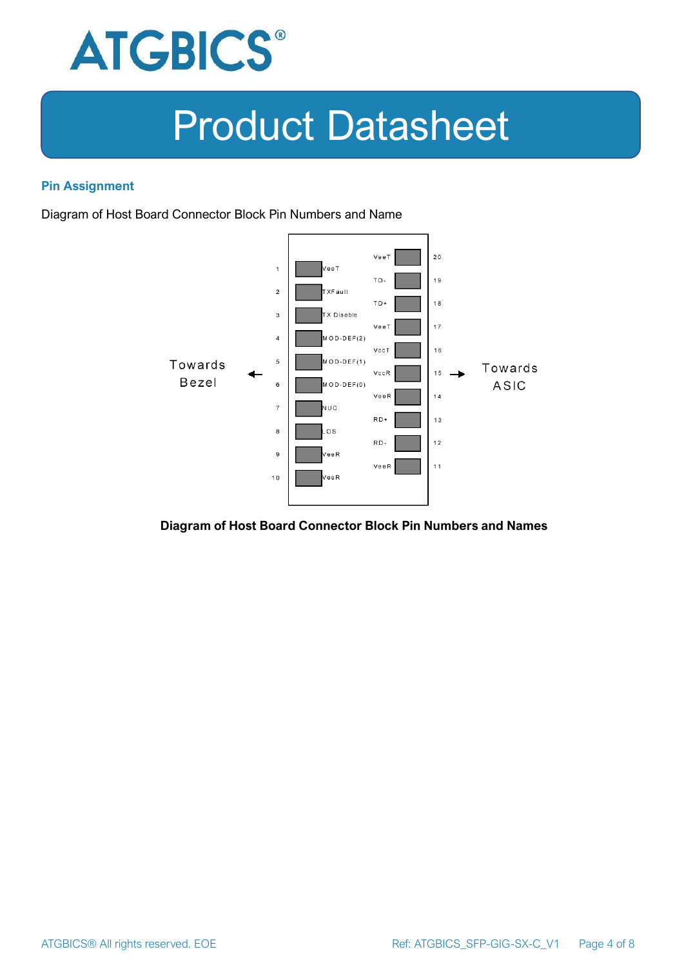

#### **Pin Assignment**

Diagram of Host Board Connector Block Pin Numbers and Name



**Diagram of Host Board Connector Block Pin Numbers and Names**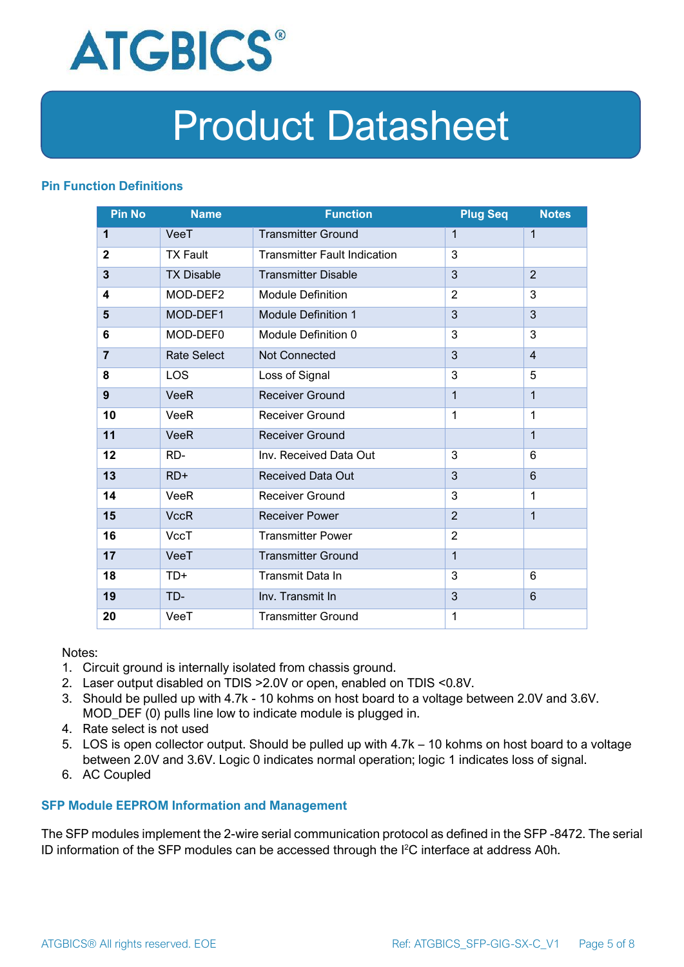

#### **Pin Function Definitions**

| <b>Pin No</b>  | <b>Name</b>        | <b>Function</b>                     | <b>Plug Seq</b> | <b>Notes</b>   |
|----------------|--------------------|-------------------------------------|-----------------|----------------|
| 1              | VeeT               | <b>Transmitter Ground</b>           | 1               | $\mathbf 1$    |
| $\mathbf 2$    | <b>TX Fault</b>    | <b>Transmitter Fault Indication</b> | 3               |                |
| 3              | <b>TX Disable</b>  | <b>Transmitter Disable</b>          | 3               | $\overline{2}$ |
| 4              | MOD-DEF2           | <b>Module Definition</b>            | $\overline{2}$  | 3              |
| 5              | MOD-DEF1           | <b>Module Definition 1</b>          | 3               | 3              |
| 6              | MOD-DEF0           | Module Definition 0                 | 3               | 3              |
| $\overline{7}$ | <b>Rate Select</b> | Not Connected                       | 3               | $\overline{4}$ |
| 8              | <b>LOS</b>         | Loss of Signal                      | 3               | 5              |
| 9              | <b>VeeR</b>        | <b>Receiver Ground</b>              | $\mathbf 1$     | $\mathbf{1}$   |
| 10             | VeeR               | Receiver Ground                     | $\mathbf{1}$    | $\mathbf 1$    |
| 11             | <b>VeeR</b>        | <b>Receiver Ground</b>              |                 | $\mathbf{1}$   |
| 12             | RD-                | Inv. Received Data Out              | 3               | 6              |
| 13             | $RD+$              | <b>Received Data Out</b>            | 3               | 6              |
| 14             | VeeR               | <b>Receiver Ground</b>              | 3               | 1              |
| 15             | <b>VccR</b>        | <b>Receiver Power</b>               | $\overline{2}$  | $\mathbf{1}$   |
| 16             | <b>VccT</b>        | <b>Transmitter Power</b>            | $\overline{2}$  |                |
| 17             | VeeT               | <b>Transmitter Ground</b>           | $\mathbf{1}$    |                |
| 18             | TD+                | Transmit Data In                    | 3               | 6              |
| 19             | TD-                | Inv. Transmit In                    | 3               | 6              |
| 20             | VeeT               | <b>Transmitter Ground</b>           | 1               |                |

Notes:

- 1. Circuit ground is internally isolated from chassis ground.
- 2. Laser output disabled on TDIS >2.0V or open, enabled on TDIS <0.8V.
- 3. Should be pulled up with 4.7k 10 kohms on host board to a voltage between 2.0V and 3.6V. MOD\_DEF (0) pulls line low to indicate module is plugged in.
- 4. Rate select is not used
- 5. LOS is open collector output. Should be pulled up with 4.7k 10 kohms on host board to a voltage between 2.0V and 3.6V. Logic 0 indicates normal operation; logic 1 indicates loss of signal.
- 6. AC Coupled

#### **SFP Module EEPROM Information and Management**

The SFP modules implement the 2-wire serial communication protocol as defined in the SFP -8472. The serial ID information of the SFP modules can be accessed through the I2C interface at address A0h.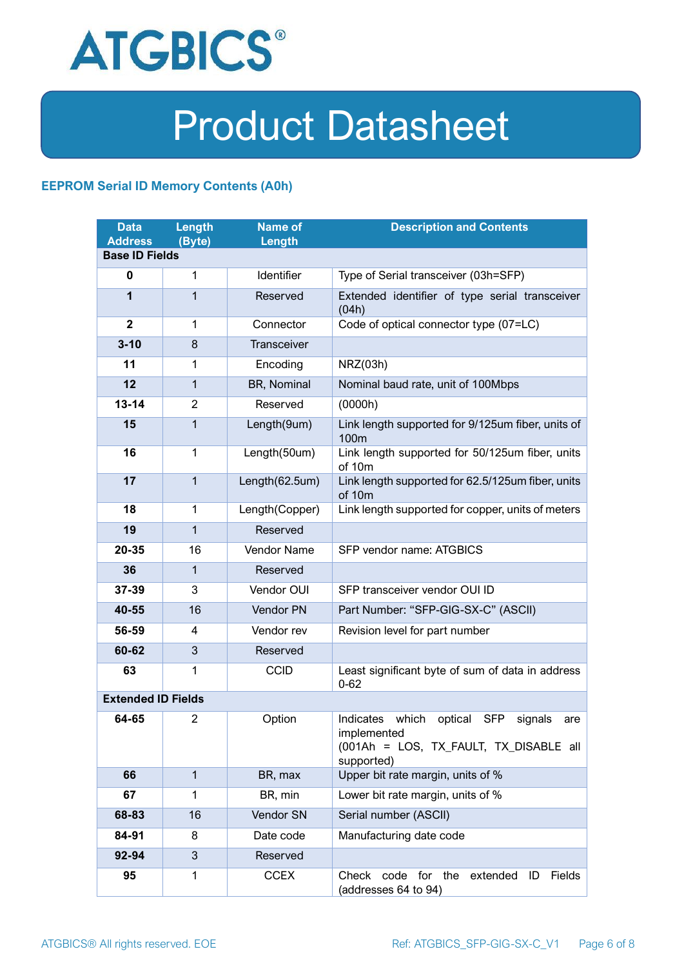

#### **EEPROM Serial ID Memory Contents (A0h)**

| <b>Data</b><br><b>Address</b> | <b>Length</b><br>(Byte) | <b>Name of</b><br>Length | <b>Description and Contents</b>                                                                                            |  |
|-------------------------------|-------------------------|--------------------------|----------------------------------------------------------------------------------------------------------------------------|--|
| <b>Base ID Fields</b>         |                         |                          |                                                                                                                            |  |
| $\mathbf 0$                   | 1                       | Identifier               | Type of Serial transceiver (03h=SFP)                                                                                       |  |
| 1                             | 1                       | Reserved                 | Extended identifier of type serial transceiver<br>(04h)                                                                    |  |
| $\overline{2}$                | 1                       | Connector                | Code of optical connector type (07=LC)                                                                                     |  |
| $3 - 10$                      | 8                       | <b>Transceiver</b>       |                                                                                                                            |  |
| 11                            | 1                       | Encoding                 | NRZ(03h)                                                                                                                   |  |
| 12                            | $\mathbf{1}$            | BR, Nominal              | Nominal baud rate, unit of 100Mbps                                                                                         |  |
| $13 - 14$                     | $\overline{2}$          | Reserved                 | (0000h)                                                                                                                    |  |
| 15                            | $\mathbf{1}$            | Length(9um)              | Link length supported for 9/125um fiber, units of<br>100 <sub>m</sub>                                                      |  |
| 16                            | 1                       | Length(50um)             | Link length supported for 50/125um fiber, units<br>of 10m                                                                  |  |
| 17                            | $\mathbf{1}$            | Length(62.5um)           | Link length supported for 62.5/125um fiber, units<br>of 10m                                                                |  |
| 18                            | 1                       | Length(Copper)           | Link length supported for copper, units of meters                                                                          |  |
| 19                            | $\mathbf{1}$            | Reserved                 |                                                                                                                            |  |
| 20-35                         | 16                      | Vendor Name              | SFP vendor name: ATGBICS                                                                                                   |  |
| 36                            | 1                       | Reserved                 |                                                                                                                            |  |
| 37-39                         | 3                       | Vendor OUI               | SFP transceiver vendor OUI ID                                                                                              |  |
| 40-55                         | 16                      | Vendor PN                | Part Number: "SFP-GIG-SX-C" (ASCII)                                                                                        |  |
| 56-59                         | 4                       | Vendor rev               | Revision level for part number                                                                                             |  |
| 60-62                         | 3                       | Reserved                 |                                                                                                                            |  |
| 63                            | 1                       | <b>CCID</b>              | Least significant byte of sum of data in address<br>$0 - 62$                                                               |  |
| <b>Extended ID Fields</b>     |                         |                          |                                                                                                                            |  |
| 64-65                         | 2                       | Option                   | Indicates which<br>optical<br>SFP<br>signals<br>are<br>implemented<br>(001Ah = LOS, TX_FAULT, TX_DISABLE all<br>supported) |  |
| 66                            | $\mathbf{1}$            | BR, max                  | Upper bit rate margin, units of %                                                                                          |  |
| 67                            | 1                       | BR, min                  | Lower bit rate margin, units of %                                                                                          |  |
| 68-83                         | 16                      | Vendor SN                | Serial number (ASCII)                                                                                                      |  |
| 84-91                         | 8                       | Date code                | Manufacturing date code                                                                                                    |  |
| 92-94                         | 3                       | Reserved                 |                                                                                                                            |  |
| 95                            | 1                       | <b>CCEX</b>              | Check code for the<br>Fields<br>extended<br>ID<br>(addresses 64 to 94)                                                     |  |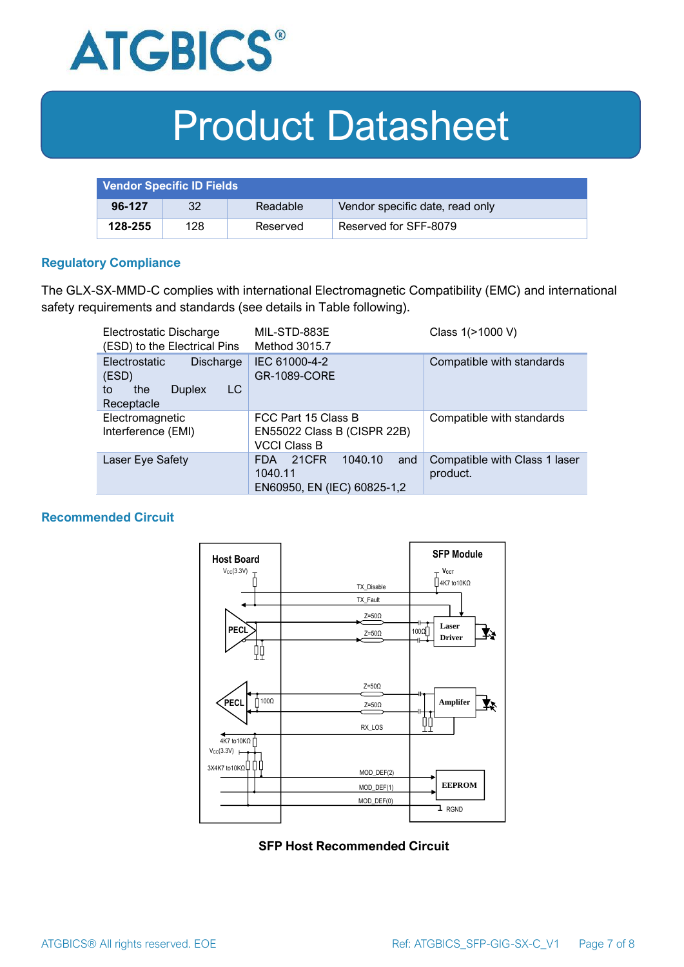

| <b>Vendor Specific ID Fields</b> |     |          |                                 |
|----------------------------------|-----|----------|---------------------------------|
| 96-127                           | 32  | Readable | Vendor specific date, read only |
| 128-255                          | 128 | Reserved | Reserved for SFF-8079           |

#### **Regulatory Compliance**

The GLX-SX-MMD-C complies with international Electromagnetic Compatibility (EMC) and international safety requirements and standards (see details in Table following).

| Electrostatic Discharge<br>(ESD) to the Electrical Pins                                      | MIL-STD-883E<br>Method 3015.7                                                   | Class 1(>1000 V)                          |  |
|----------------------------------------------------------------------------------------------|---------------------------------------------------------------------------------|-------------------------------------------|--|
| <b>Electrostatic</b><br>Discharge<br>(ESD)<br>LC<br>the<br><b>Duplex</b><br>to<br>Receptacle | IEC 61000-4-2<br><b>GR-1089-CORE</b>                                            | Compatible with standards                 |  |
| Electromagnetic<br>Interference (EMI)                                                        | FCC Part 15 Class B<br>EN55022 Class B (CISPR 22B)<br><b>VCCI Class B</b>       | Compatible with standards                 |  |
| Laser Eye Safety                                                                             | 1040.10<br>21CFR<br>and<br><b>FDA</b><br>1040.11<br>EN60950, EN (IEC) 60825-1,2 | Compatible with Class 1 laser<br>product. |  |

#### **Recommended Circuit**



#### **SFP Host Recommended Circuit**